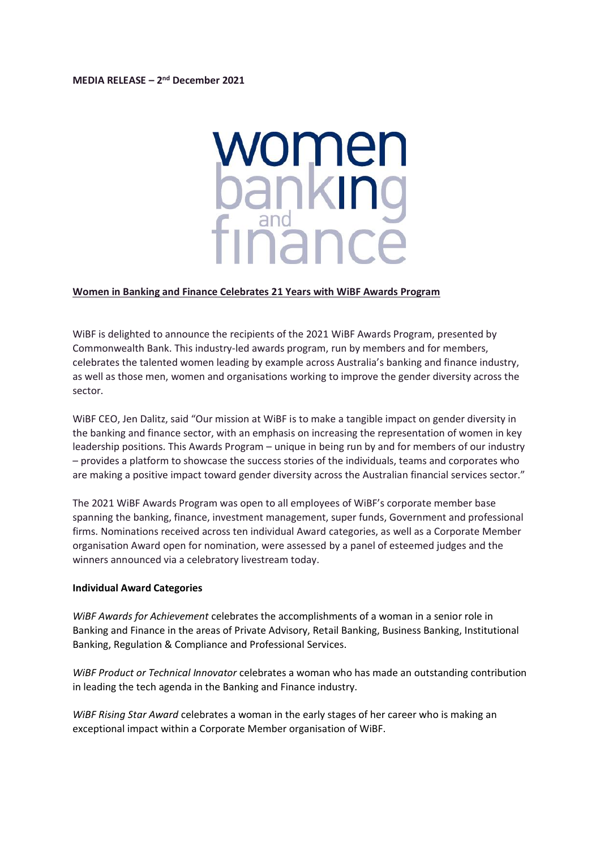## **MEDIA RELEASE – 2 nd December 2021**

# women banking<br>finance

## **Women in Banking and Finance Celebrates 21 Years with WiBF Awards Program**

WiBF is delighted to announce the recipients of the 2021 WiBF Awards Program, presented by Commonwealth Bank. This industry-led awards program, run by members and for members, celebrates the talented women leading by example across Australia's banking and finance industry, as well as those men, women and organisations working to improve the gender diversity across the sector.

WiBF CEO, Jen Dalitz, said "Our mission at WiBF is to make a tangible impact on gender diversity in the banking and finance sector, with an emphasis on increasing the representation of women in key leadership positions. This Awards Program – unique in being run by and for members of our industry – provides a platform to showcase the success stories of the individuals, teams and corporates who are making a positive impact toward gender diversity across the Australian financial services sector."

The 2021 WiBF Awards Program was open to all employees of WiBF's corporate member base spanning the banking, finance, investment management, super funds, Government and professional firms. Nominations received across ten individual Award categories, as well as a Corporate Member organisation Award open for nomination, were assessed by a panel of esteemed judges and the winners announced via a celebratory livestream today.

#### **Individual Award Categories**

*WiBF Awards for Achievement* celebrates the accomplishments of a woman in a senior role in Banking and Finance in the areas of Private Advisory, Retail Banking, Business Banking, Institutional Banking, Regulation & Compliance and Professional Services.

*WiBF Product or Technical Innovator* celebrates a woman who has made an outstanding contribution in leading the tech agenda in the Banking and Finance industry.

*WiBF Rising Star Award* celebrates a woman in the early stages of her career who is making an exceptional impact within a Corporate Member organisation of WiBF.